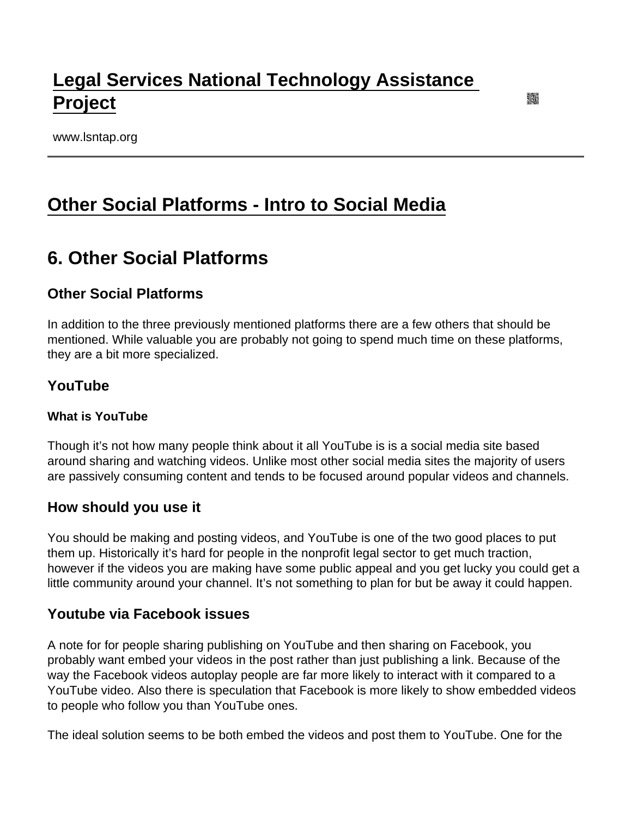# [Legal Services National Technology Assistance](https://www.lsntap.org/)  [Project](https://www.lsntap.org/)

www.lsntap.org

## [Other Social Platforms - Intro to Social Media](https://www.lsntap.org/node/42/other-social-platforms-intro-social-media)

## 6. Other Social Platforms

## Other Social Platforms

In addition to the three previously mentioned platforms there are a few others that should be mentioned. While valuable you are probably not going to spend much time on these platforms, they are a bit more specialized.

### YouTube

What is YouTube

Though it's not how many people think about it all YouTube is is a social media site based around sharing and watching videos. Unlike most other social media sites the majority of users are passively consuming content and tends to be focused around popular videos and channels.

#### How should you use it

You should be making and posting videos, and YouTube is one of the two good places to put them up. Historically it's hard for people in the nonprofit legal sector to get much traction, however if the videos you are making have some public appeal and you get lucky you could get a little community around your channel. It's not something to plan for but be away it could happen.

#### Youtube via Facebook issues

A note for for people sharing publishing on YouTube and then sharing on Facebook, you probably want embed your videos in the post rather than just publishing a link. Because of the way the Facebook videos autoplay people are far more likely to interact with it compared to a YouTube video. Also there is speculation that Facebook is more likely to show embedded videos to people who follow you than YouTube ones.

The ideal solution seems to be both embed the videos and post them to YouTube. One for the